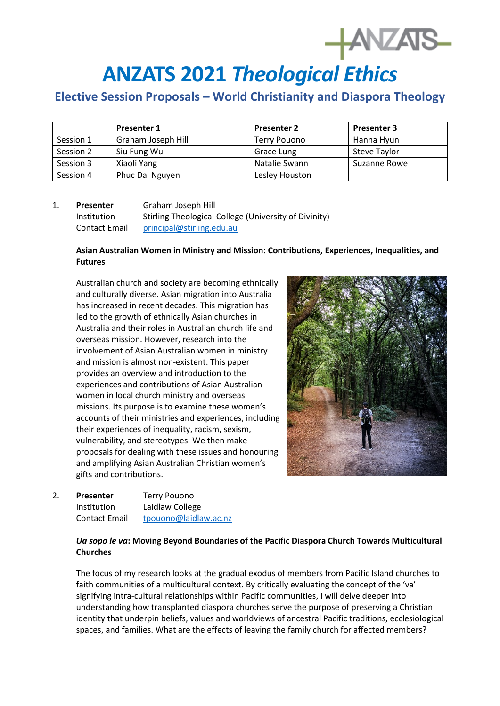# **HANZATS**

## **ANZATS 2021** *Theological Ethics*

### **Elective Session Proposals – World Christianity and Diaspora Theology**

|           | <b>Presenter 1</b> | <b>Presenter 2</b> | <b>Presenter 3</b> |
|-----------|--------------------|--------------------|--------------------|
| Session 1 | Graham Joseph Hill | Terry Pouono       | Hanna Hyun         |
| Session 2 | Siu Fung Wu        | Grace Lung         | Steve Taylor       |
| Session 3 | Xiaoli Yang        | Natalie Swann      | Suzanne Rowe       |
| Session 4 | Phuc Dai Nguyen    | Lesley Houston     |                    |

#### 1. **Presenter** Graham Joseph Hill Institution Stirling Theological College (University of Divinity) Contact Email [principal@stirling.edu.au](mailto:principal@stirling.edu.au)

#### **Asian Australian Women in Ministry and Mission: Contributions, Experiences, Inequalities, and Futures**

Australian church and society are becoming ethnically and culturally diverse. Asian migration into Australia has increased in recent decades. This migration has led to the growth of ethnically Asian churches in Australia and their roles in Australian church life and overseas mission. However, research into the involvement of Asian Australian women in ministry and mission is almost non-existent. This paper provides an overview and introduction to the experiences and contributions of Asian Australian women in local church ministry and overseas missions. Its purpose is to examine these women's accounts of their ministries and experiences, including their experiences of inequality, racism, sexism, vulnerability, and stereotypes. We then make proposals for dealing with these issues and honouring and amplifying Asian Australian Christian women's gifts and contributions.



| <b>Presenter</b>     | <b>Terry Pouono</b>   |  |
|----------------------|-----------------------|--|
| Institution          | Laidlaw College       |  |
| <b>Contact Email</b> | tpouono@laidlaw.ac.nz |  |

#### *Ua sopo le va***: Moving Beyond Boundaries of the Pacific Diaspora Church Towards Multicultural Churches**

The focus of my research looks at the gradual exodus of members from Pacific Island churches to faith communities of a multicultural context. By critically evaluating the concept of the 'va' signifying intra-cultural relationships within Pacific communities, I will delve deeper into understanding how transplanted diaspora churches serve the purpose of preserving a Christian identity that underpin beliefs, values and worldviews of ancestral Pacific traditions, ecclesiological spaces, and families. What are the effects of leaving the family church for affected members?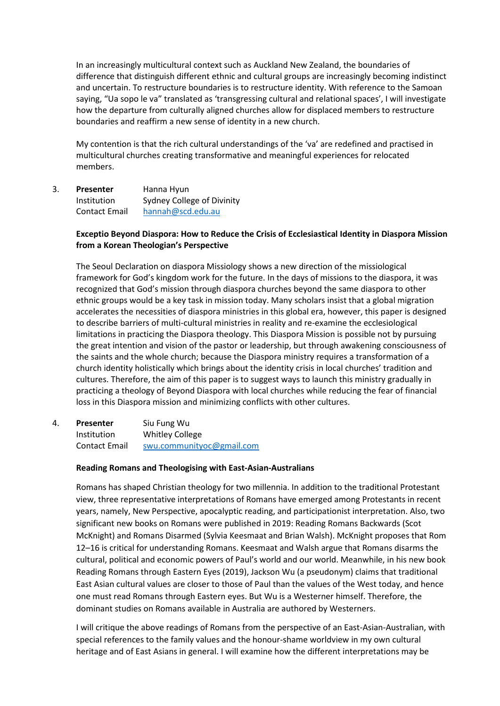In an increasingly multicultural context such as Auckland New Zealand, the boundaries of difference that distinguish different ethnic and cultural groups are increasingly becoming indistinct and uncertain. To restructure boundaries is to restructure identity. With reference to the Samoan saying, "Ua sopo le va" translated as 'transgressing cultural and relational spaces', I will investigate how the departure from culturally aligned churches allow for displaced members to restructure boundaries and reaffirm a new sense of identity in a new church.

My contention is that the rich cultural understandings of the 'va' are redefined and practised in multicultural churches creating transformative and meaningful experiences for relocated members.

3. **Presenter** Hanna Hyun Institution Sydney College of Divinity Contact Email [hannah@scd.edu.au](mailto:hannah@scd.edu.au)

#### **Exceptio Beyond Diaspora: How to Reduce the Crisis of Ecclesiastical Identity in Diaspora Mission from a Korean Theologian's Perspective**

The Seoul Declaration on diaspora Missiology shows a new direction of the missiological framework for God's kingdom work for the future. In the days of missions to the diaspora, it was recognized that God's mission through diaspora churches beyond the same diaspora to other ethnic groups would be a key task in mission today. Many scholars insist that a global migration accelerates the necessities of diaspora ministries in this global era, however, this paper is designed to describe barriers of multi-cultural ministries in reality and re-examine the ecclesiological limitations in practicing the Diaspora theology. This Diaspora Mission is possible not by pursuing the great intention and vision of the pastor or leadership, but through awakening consciousness of the saints and the whole church; because the Diaspora ministry requires a transformation of a church identity holistically which brings about the identity crisis in local churches' tradition and cultures. Therefore, the aim of this paper is to suggest ways to launch this ministry gradually in practicing a theology of Beyond Diaspora with local churches while reducing the fear of financial loss in this Diaspora mission and minimizing conflicts with other cultures.

4. **Presenter** Siu Fung Wu Institution Whitley College Contact Email [swu.communityoc@gmail.com](mailto:swu.communityoc@gmail.com)

#### **Reading Romans and Theologising with East-Asian-Australians**

Romans has shaped Christian theology for two millennia. In addition to the traditional Protestant view, three representative interpretations of Romans have emerged among Protestants in recent years, namely, New Perspective, apocalyptic reading, and participationist interpretation. Also, two significant new books on Romans were published in 2019: Reading Romans Backwards (Scot McKnight) and Romans Disarmed (Sylvia Keesmaat and Brian Walsh). McKnight proposes that Rom 12–16 is critical for understanding Romans. Keesmaat and Walsh argue that Romans disarms the cultural, political and economic powers of Paul's world and our world. Meanwhile, in his new book Reading Romans through Eastern Eyes (2019), Jackson Wu (a pseudonym) claims that traditional East Asian cultural values are closer to those of Paul than the values of the West today, and hence one must read Romans through Eastern eyes. But Wu is a Westerner himself. Therefore, the dominant studies on Romans available in Australia are authored by Westerners.

I will critique the above readings of Romans from the perspective of an East-Asian-Australian, with special references to the family values and the honour-shame worldview in my own cultural heritage and of East Asians in general. I will examine how the different interpretations may be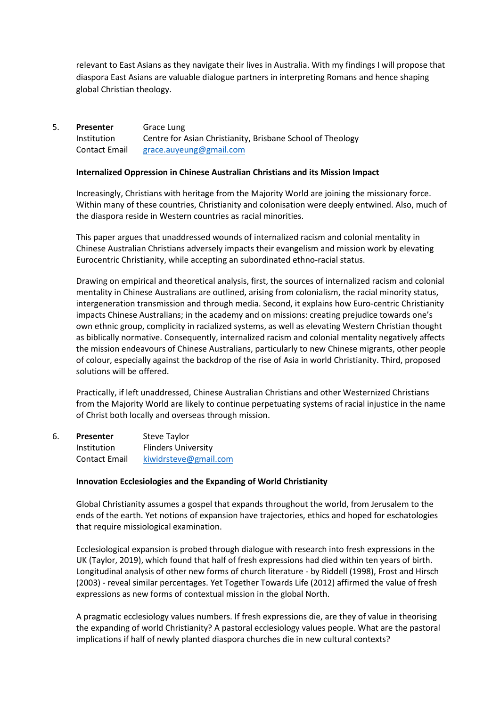relevant to East Asians as they navigate their lives in Australia. With my findings I will propose that diaspora East Asians are valuable dialogue partners in interpreting Romans and hence shaping global Christian theology.

#### 5. **Presenter** Grace Lung Institution Centre for Asian Christianity, Brisbane School of Theology Contact Email [grace.auyeung@gmail.com](mailto:grace.auyeung@gmail.com)

#### **Internalized Oppression in Chinese Australian Christians and its Mission Impact**

Increasingly, Christians with heritage from the Majority World are joining the missionary force. Within many of these countries, Christianity and colonisation were deeply entwined. Also, much of the diaspora reside in Western countries as racial minorities.

This paper argues that unaddressed wounds of internalized racism and colonial mentality in Chinese Australian Christians adversely impacts their evangelism and mission work by elevating Eurocentric Christianity, while accepting an subordinated ethno-racial status.

Drawing on empirical and theoretical analysis, first, the sources of internalized racism and colonial mentality in Chinese Australians are outlined, arising from colonialism, the racial minority status, intergeneration transmission and through media. Second, it explains how Euro-centric Christianity impacts Chinese Australians; in the academy and on missions: creating prejudice towards one's own ethnic group, complicity in racialized systems, as well as elevating Western Christian thought as biblically normative. Consequently, internalized racism and colonial mentality negatively affects the mission endeavours of Chinese Australians, particularly to new Chinese migrants, other people of colour, especially against the backdrop of the rise of Asia in world Christianity. Third, proposed solutions will be offered.

Practically, if left unaddressed, Chinese Australian Christians and other Westernized Christians from the Majority World are likely to continue perpetuating systems of racial injustice in the name of Christ both locally and overseas through mission.

| 6. | <b>Presenter</b>     | <b>Steve Taylor</b>        |
|----|----------------------|----------------------------|
|    | Institution          | <b>Flinders University</b> |
|    | <b>Contact Email</b> | kiwidrsteve@gmail.com      |

#### **Innovation Ecclesiologies and the Expanding of World Christianity**

Global Christianity assumes a gospel that expands throughout the world, from Jerusalem to the ends of the earth. Yet notions of expansion have trajectories, ethics and hoped for eschatologies that require missiological examination.

Ecclesiological expansion is probed through dialogue with research into fresh expressions in the UK (Taylor, 2019), which found that half of fresh expressions had died within ten years of birth. Longitudinal analysis of other new forms of church literature - by Riddell (1998), Frost and Hirsch (2003) - reveal similar percentages. Yet Together Towards Life (2012) affirmed the value of fresh expressions as new forms of contextual mission in the global North.

A pragmatic ecclesiology values numbers. If fresh expressions die, are they of value in theorising the expanding of world Christianity? A pastoral ecclesiology values people. What are the pastoral implications if half of newly planted diaspora churches die in new cultural contexts?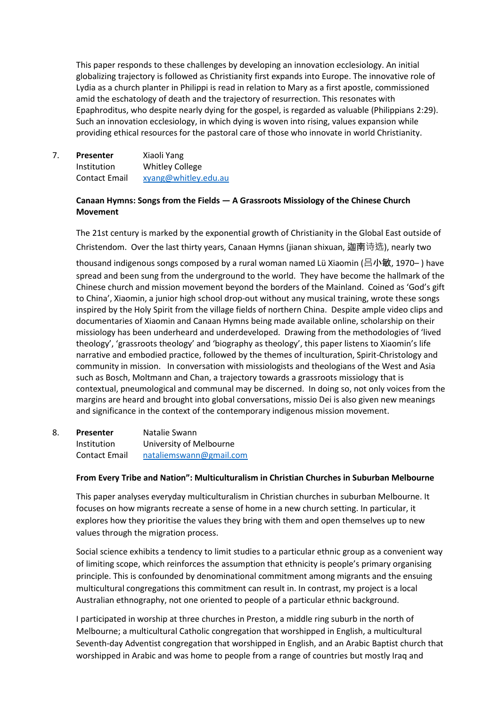This paper responds to these challenges by developing an innovation ecclesiology. An initial globalizing trajectory is followed as Christianity first expands into Europe. The innovative role of Lydia as a church planter in Philippi is read in relation to Mary as a first apostle, commissioned amid the eschatology of death and the trajectory of resurrection. This resonates with Epaphroditus, who despite nearly dying for the gospel, is regarded as valuable (Philippians 2:29). Such an innovation ecclesiology, in which dying is woven into rising, values expansion while providing ethical resources for the pastoral care of those who innovate in world Christianity.

7. **Presenter** Xiaoli Yang Institution Whitley College Contact Email [xyang@whitley.edu.au](mailto:xyang@whitley.edu.au)

#### **Canaan Hymns: Songs from the Fields — A Grassroots Missiology of the Chinese Church Movement**

The 21st century is marked by the exponential growth of Christianity in the Global East outside of Christendom. Over the last thirty years, Canaan Hymns (jianan shixuan, 迦南诗选), nearly two

thousand indigenous songs composed by a rural woman named Lü Xiaomin ( $\Xi$ 小敏, 1970–) have spread and been sung from the underground to the world. They have become the hallmark of the Chinese church and mission movement beyond the borders of the Mainland. Coined as 'God's gift to China', Xiaomin, a junior high school drop-out without any musical training, wrote these songs inspired by the Holy Spirit from the village fields of northern China. Despite ample video clips and documentaries of Xiaomin and Canaan Hymns being made available online, scholarship on their missiology has been underheard and underdeveloped. Drawing from the methodologies of 'lived theology', 'grassroots theology' and 'biography as theology', this paper listens to Xiaomin's life narrative and embodied practice, followed by the themes of inculturation, Spirit-Christology and community in mission. In conversation with missiologists and theologians of the West and Asia such as Bosch, Moltmann and Chan, a trajectory towards a grassroots missiology that is contextual, pneumological and communal may be discerned. In doing so, not only voices from the margins are heard and brought into global conversations, missio Dei is also given new meanings and significance in the context of the contemporary indigenous mission movement.

8. **Presenter** Natalie Swann Institution University of Melbourne Contact Email [nataliemswann@gmail.com](mailto:nataliemswann@gmail.com)

#### **From Every Tribe and Nation": Multiculturalism in Christian Churches in Suburban Melbourne**

This paper analyses everyday multiculturalism in Christian churches in suburban Melbourne. It focuses on how migrants recreate a sense of home in a new church setting. In particular, it explores how they prioritise the values they bring with them and open themselves up to new values through the migration process.

Social science exhibits a tendency to limit studies to a particular ethnic group as a convenient way of limiting scope, which reinforces the assumption that ethnicity is people's primary organising principle. This is confounded by denominational commitment among migrants and the ensuing multicultural congregations this commitment can result in. In contrast, my project is a local Australian ethnography, not one oriented to people of a particular ethnic background.

I participated in worship at three churches in Preston, a middle ring suburb in the north of Melbourne; a multicultural Catholic congregation that worshipped in English, a multicultural Seventh-day Adventist congregation that worshipped in English, and an Arabic Baptist church that worshipped in Arabic and was home to people from a range of countries but mostly Iraq and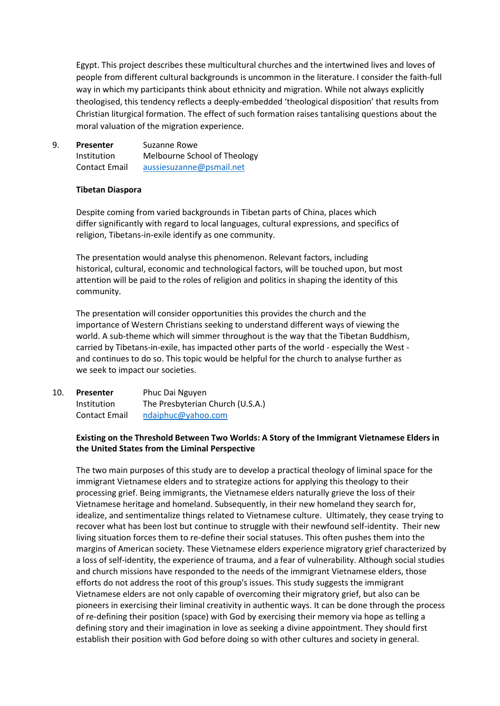Egypt. This project describes these multicultural churches and the intertwined lives and loves of people from different cultural backgrounds is uncommon in the literature. I consider the faith-full way in which my participants think about ethnicity and migration. While not always explicitly theologised, this tendency reflects a deeply-embedded 'theological disposition' that results from Christian liturgical formation. The effect of such formation raises tantalising questions about the moral valuation of the migration experience.

9. **Presenter** Suzanne Rowe Institution Melbourne School of Theology Contact Email [aussiesuzanne@psmail.net](mailto:aussiesuzanne@psmail.net)

#### **Tibetan Diaspora**

Despite coming from varied backgrounds in Tibetan parts of China, places which differ significantly with regard to local languages, cultural expressions, and specifics of religion, Tibetans-in-exile identify as one community.

The presentation would analyse this phenomenon. Relevant factors, including historical, cultural, economic and technological factors, will be touched upon, but most attention will be paid to the roles of religion and politics in shaping the identity of this community.

The presentation will consider opportunities this provides the church and the importance of Western Christians seeking to understand different ways of viewing the world. A sub-theme which will simmer throughout is the way that the Tibetan Buddhism, carried by Tibetans-in-exile, has impacted other parts of the world - especially the West and continues to do so. This topic would be helpful for the church to analyse further as we seek to impact our societies.

10. **Presenter** Phuc Dai Nguyen Institution The Presbyterian Church (U.S.A.) Contact Email [ndaiphuc@yahoo.com](mailto:ndaiphuc@yahoo.com)

#### **Existing on the Threshold Between Two Worlds: A Story of the Immigrant Vietnamese Elders in the United States from the Liminal Perspective**

The two main purposes of this study are to develop a practical theology of liminal space for the immigrant Vietnamese elders and to strategize actions for applying this theology to their processing grief. Being immigrants, the Vietnamese elders naturally grieve the loss of their Vietnamese heritage and homeland. Subsequently, in their new homeland they search for, idealize, and sentimentalize things related to Vietnamese culture. Ultimately, they cease trying to recover what has been lost but continue to struggle with their newfound self-identity. Their new living situation forces them to re-define their social statuses. This often pushes them into the margins of American society. These Vietnamese elders experience migratory grief characterized by a loss of self-identity, the experience of trauma, and a fear of vulnerability. Although social studies and church missions have responded to the needs of the immigrant Vietnamese elders, those efforts do not address the root of this group's issues. This study suggests the immigrant Vietnamese elders are not only capable of overcoming their migratory grief, but also can be pioneers in exercising their liminal creativity in authentic ways. It can be done through the process of re-defining their position (space) with God by exercising their memory via hope as telling a defining story and their imagination in love as seeking a divine appointment. They should first establish their position with God before doing so with other cultures and society in general.